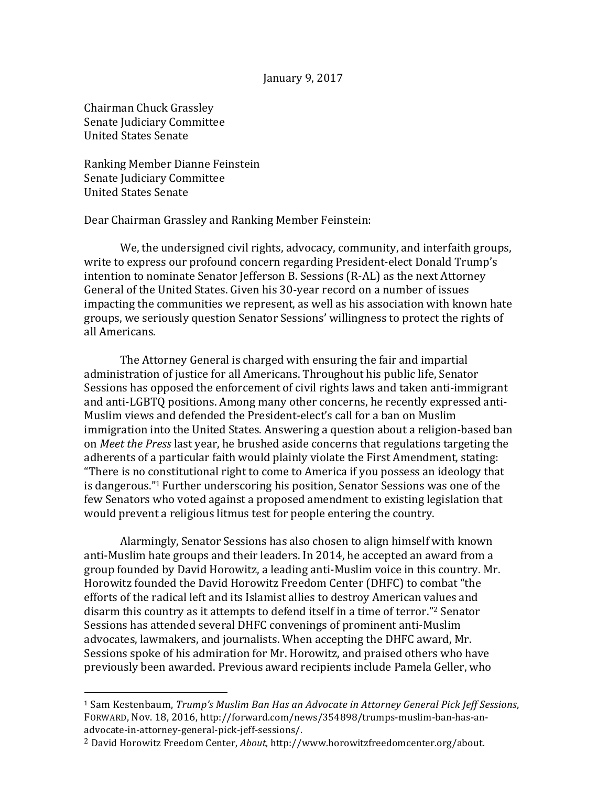## January 9, 2017

Chairman Chuck Grassley Senate Judiciary Committee United States Senate

 

Ranking Member Dianne Feinstein Senate Judiciary Committee United States Senate

Dear Chairman Grassley and Ranking Member Feinstein:

We, the undersigned civil rights, advocacy, community, and interfaith groups, write to express our profound concern regarding President-elect Donald Trump's intention to nominate Senator Jefferson B. Sessions (R-AL) as the next Attorney General of the United States. Given his 30-year record on a number of issues impacting the communities we represent, as well as his association with known hate groups, we seriously question Senator Sessions' willingness to protect the rights of all Americans.

The Attorney General is charged with ensuring the fair and impartial administration of justice for all Americans. Throughout his public life, Senator Sessions has opposed the enforcement of civil rights laws and taken anti-immigrant and anti-LGBTO positions. Among many other concerns, he recently expressed anti-Muslim views and defended the President-elect's call for a ban on Muslim immigration into the United States. Answering a question about a religion-based ban on *Meet the Press* last year, he brushed aside concerns that regulations targeting the adherents of a particular faith would plainly violate the First Amendment, stating: "There is no constitutional right to come to America if you possess an ideology that is dangerous."<sup>1</sup> Further underscoring his position, Senator Sessions was one of the few Senators who voted against a proposed amendment to existing legislation that would prevent a religious litmus test for people entering the country.

Alarmingly, Senator Sessions has also chosen to align himself with known anti-Muslim hate groups and their leaders. In 2014, he accepted an award from a group founded by David Horowitz, a leading anti-Muslim voice in this country. Mr. Horowitz founded the David Horowitz Freedom Center (DHFC) to combat "the efforts of the radical left and its Islamist allies to destroy American values and disarm this country as it attempts to defend itself in a time of terror."<sup>2</sup> Senator Sessions has attended several DHFC convenings of prominent anti-Muslim advocates, lawmakers, and journalists. When accepting the DHFC award, Mr. Sessions spoke of his admiration for Mr. Horowitz, and praised others who have previously been awarded. Previous award recipients include Pamela Geller, who 

<sup>&</sup>lt;sup>1</sup> Sam Kestenbaum, *Trump's Muslim Ban Has an Advocate in Attorney General Pick Jeff Sessions,* FORWARD, Nov. 18, 2016, http://forward.com/news/354898/trumps-muslim-ban-has-anadvocate-in-attorney-general-pick-jeff-sessions/.

<sup>&</sup>lt;sup>2</sup> David Horowitz Freedom Center, *About*, http://www.horowitzfreedomcenter.org/about.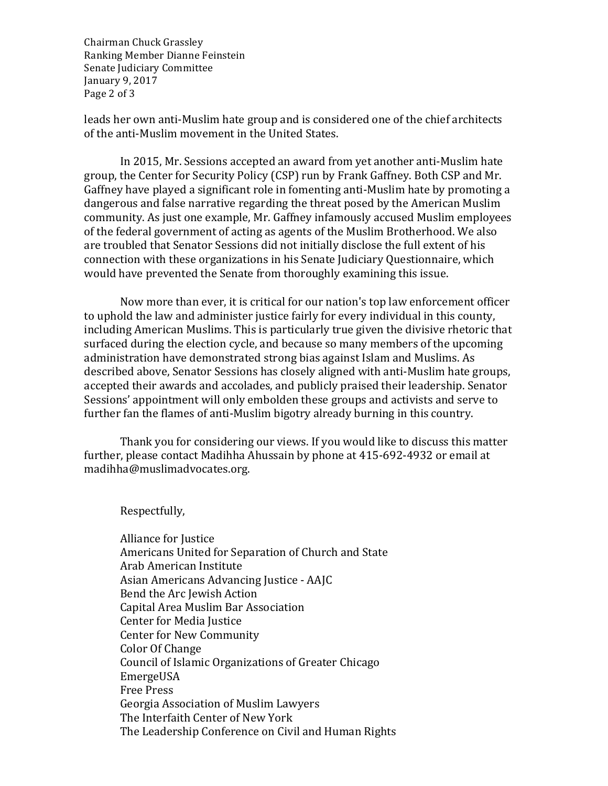Chairman Chuck Grassley Ranking Member Dianne Feinstein Senate Judiciary Committee January 9, 2017 Page 2 of 3

leads her own anti-Muslim hate group and is considered one of the chief architects of the anti-Muslim movement in the United States.

In 2015, Mr. Sessions accepted an award from yet another anti-Muslim hate group, the Center for Security Policy (CSP) run by Frank Gaffney. Both CSP and Mr. Gaffney have played a significant role in fomenting anti-Muslim hate by promoting a dangerous and false narrative regarding the threat posed by the American Muslim community. As just one example, Mr. Gaffney infamously accused Muslim employees of the federal government of acting as agents of the Muslim Brotherhood. We also are troubled that Senator Sessions did not initially disclose the full extent of his connection with these organizations in his Senate Judiciary Questionnaire, which would have prevented the Senate from thoroughly examining this issue.

Now more than ever, it is critical for our nation's top law enforcement officer to uphold the law and administer justice fairly for every individual in this county, including American Muslims. This is particularly true given the divisive rhetoric that surfaced during the election cycle, and because so many members of the upcoming administration have demonstrated strong bias against Islam and Muslims. As described above, Senator Sessions has closely aligned with anti-Muslim hate groups, accepted their awards and accolades, and publicly praised their leadership. Senator Sessions' appointment will only embolden these groups and activists and serve to further fan the flames of anti-Muslim bigotry already burning in this country.

Thank you for considering our views. If you would like to discuss this matter further, please contact Madihha Ahussain by phone at 415-692-4932 or email at madihha@muslimadvocates.org.

Respectfully,

Alliance for Justice Americans United for Separation of Church and State Arab American Institute Asian Americans Advancing Justice - AAJC Bend the Arc Jewish Action Capital Area Muslim Bar Association Center for Media Justice Center for New Community Color Of Change Council of Islamic Organizations of Greater Chicago EmergeUSA Free Press Georgia Association of Muslim Lawyers The Interfaith Center of New York The Leadership Conference on Civil and Human Rights